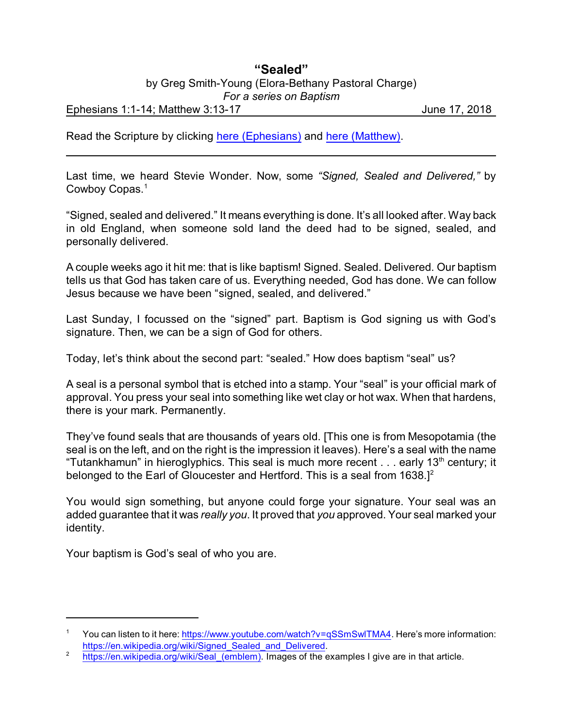## **"Sealed"** by Greg Smith-Young (Elora-Bethany Pastoral Charge) *For a series on Baptism*

Ephesians 1:1-14; Matthew 3:13-17 June 17, 2018

Read the Scripture by clicking [here \(Ephesians\)](https://www.biblegateway.com/passage/?search=Ephesians+1%3A1-14&version=CEB) and [here \(Matthew\)](https://www.biblegateway.com/passage/?search=Matthew+3%3A13-17&version=CEB).

Last time, we heard Stevie Wonder. Now, some *"Signed, Sealed and Delivered,"* by Cowboy Copas.<sup>1</sup>

"Signed, sealed and delivered." It means everything is done. It's all looked after. Way back in old England, when someone sold land the deed had to be signed, sealed, and personally delivered.

A couple weeks ago it hit me: that is like baptism! Signed. Sealed. Delivered. Our baptism tells us that God has taken care of us. Everything needed, God has done. We can follow Jesus because we have been "signed, sealed, and delivered."

Last Sunday, I focussed on the "signed" part. Baptism is God signing us with God's signature. Then, we can be a sign of God for others.

Today, let's think about the second part: "sealed." How does baptism "seal" us?

A seal is a personal symbol that is etched into a stamp. Your "seal" is your official mark of approval. You press your seal into something like wet clay or hot wax. When that hardens, there is your mark. Permanently.

They've found seals that are thousands of years old. [This one is from Mesopotamia (the seal is on the left, and on the right is the impression it leaves). Here's a seal with the name "Tutankhamun" in hieroglyphics. This seal is much more recent  $\ldots$  early 13<sup>th</sup> century; it belonged to the Earl of Gloucester and Hertford. This is a seal from  $1638.1^2$ 

You would sign something, but anyone could forge your signature. Your seal was an added guarantee that it was *really you*. It proved that *you* approved. Your seal marked your identity.

Your baptism is God's seal of who you are.

<sup>&</sup>lt;sup>1</sup> You can listen to it here: <https://www.youtube.com/watch?v=qSSmSwlTMA4>. Here's more information: https://en.wikipedia.org/wiki/Signed Sealed and Delivered.

<sup>&</sup>lt;sup>2</sup> [https://en.wikipedia.org/wiki/Seal\\_\(emblem\)](https://en.wikipedia.org/wiki/Seal_(emblem)). Images of the examples I give are in that article.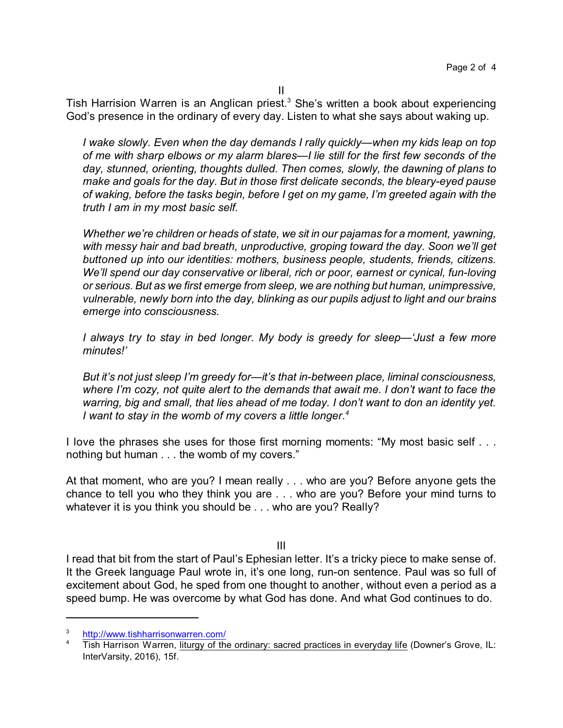II

Tish Harrision Warren is an Anglican priest.<sup>3</sup> She's written a book about experiencing God's presence in the ordinary of every day. Listen to what she says about waking up.

*I wake slowly. Even when the day demands I rally quickly—when my kids leap on top of me with sharp elbows or my alarm blares—I lie still for the first few seconds of the day, stunned, orienting, thoughts dulled. Then comes, slowly, the dawning of plans to make and goals for the day. But in those first delicate seconds, the bleary-eyed pause of waking, before the tasks begin, before I get on my game, I'm greeted again with the truth I am in my most basic self.*

*Whether we're children or heads of state, we sit in our pajamas for a moment, yawning, with messy hair and bad breath, unproductive, groping toward the day. Soon we'll get buttoned up into our identities: mothers, business people, students, friends, citizens. We'll spend our day conservative or liberal, rich or poor, earnest or cynical, fun-loving or serious. But as we first emerge from sleep, we are nothing but human, unimpressive, vulnerable, newly born into the day, blinking as our pupils adjust to light and our brains emerge into consciousness.*

*I always try to stay in bed longer. My body is greedy for sleep—'Just a few more minutes!'*

*But it's not just sleep I'm greedy for—it's that in-between place, liminal consciousness, where I'm cozy, not quite alert to the demands that await me. I don't want to face the warring, big and small, that lies ahead of me today. I don't want to don an identity yet. I want to stay in the womb of my covers a little longer. 4*

I love the phrases she uses for those first morning moments: "My most basic self . . . nothing but human . . . the womb of my covers."

At that moment, who are you? I mean really . . . who are you? Before anyone gets the chance to tell you who they think you are . . . who are you? Before your mind turns to whatever it is you think you should be . . . who are you? Really?

III

I read that bit from the start of Paul's Ephesian letter. It's a tricky piece to make sense of. It the Greek language Paul wrote in, it's one long, run-on sentence. Paul was so full of excitement about God, he sped from one thought to another, without even a period as a speed bump. He was overcome by what God has done. And what God continues to do.

<sup>3</sup> <http://www.tishharrisonwarren.com/>

Tish Harrison Warren, liturgy of the ordinary: sacred practices in everyday life (Downer's Grove, IL: InterVarsity, 2016), 15f.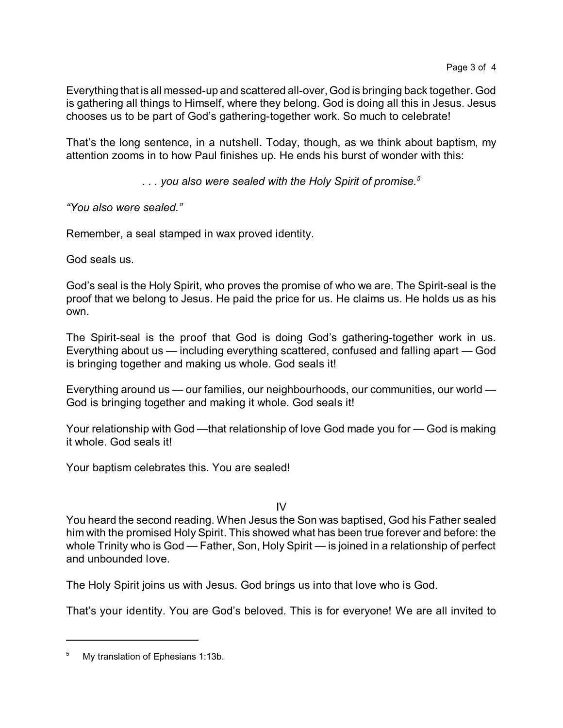Everything that is all messed-up and scattered all-over, God is bringing back together. God is gathering all things to Himself, where they belong. God is doing all this in Jesus. Jesus chooses us to be part of God's gathering-together work. So much to celebrate!

That's the long sentence, in a nutshell. Today, though, as we think about baptism, my attention zooms in to how Paul finishes up. He ends his burst of wonder with this:

*. . . you also were sealed with the Holy Spirit of promise.<sup>5</sup>*

*"You also were sealed."*

Remember, a seal stamped in wax proved identity.

God seals us.

God's seal is the Holy Spirit, who proves the promise of who we are. The Spirit-seal is the proof that we belong to Jesus. He paid the price for us. He claims us. He holds us as his own.

The Spirit-seal is the proof that God is doing God's gathering-together work in us. Everything about us — including everything scattered, confused and falling apart — God is bringing together and making us whole. God seals it!

Everything around us — our families, our neighbourhoods, our communities, our world — God is bringing together and making it whole. God seals it!

Your relationship with God —that relationship of love God made you for — God is making it whole. God seals it!

Your baptism celebrates this. You are sealed!

IV

You heard the second reading. When Jesus the Son was baptised, God his Father sealed him with the promised Holy Spirit. This showed what has been true forever and before: the whole Trinity who is God — Father, Son, Holy Spirit — is joined in a relationship of perfect and unbounded love.

The Holy Spirit joins us with Jesus. God brings us into that love who is God.

That's your identity. You are God's beloved. This is for everyone! We are all invited to

<sup>&</sup>lt;sup>5</sup> My translation of Ephesians 1:13b.